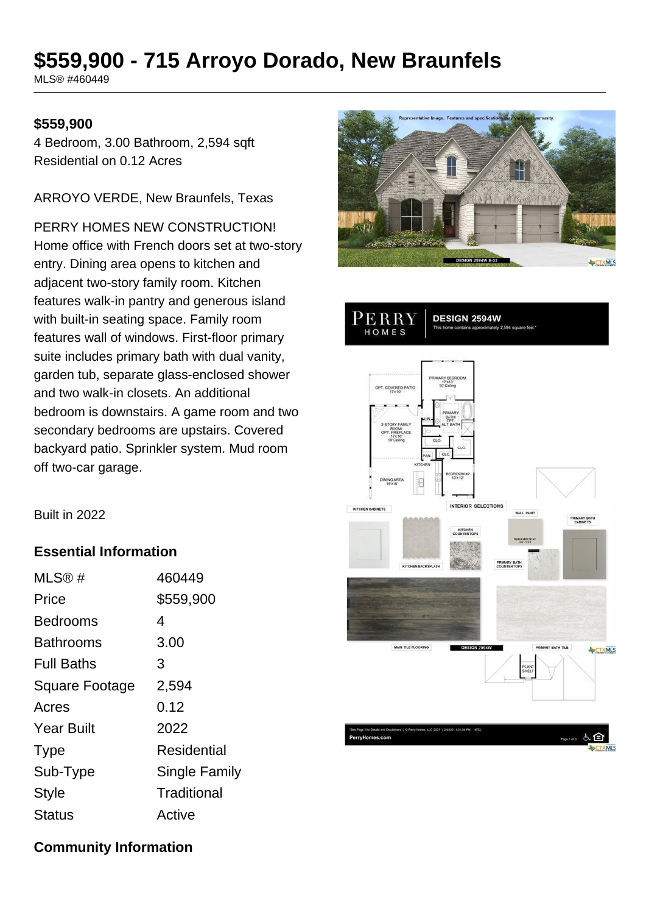# **\$559,900 - 715 Arroyo Dorado, New Braunfels**

MLS® #460449

#### **\$559,900**

4 Bedroom, 3.00 Bathroom, 2,594 sqft Residential on 0.12 Acres

ARROYO VERDE, New Braunfels, Texas

PERRY HOMES NEW CONSTRUCTION! Home office with French doors set at two-story entry. Dining area opens to kitchen and adjacent two-story family room. Kitchen features walk-in pantry and generous island with built-in seating space. Family room features wall of windows. First-floor primary suite includes primary bath with dual vanity, garden tub, separate glass-enclosed shower and two walk-in closets. An additional bedroom is downstairs. A game room and two secondary bedrooms are upstairs. Covered backyard patio. Sprinkler system. Mud room off two-car garage.





Built in 2022

#### **Essential Information**

| MLS@#                 | 460449        |
|-----------------------|---------------|
| Price                 | \$559,900     |
| Bedrooms              | 4             |
| Bathrooms             | 3.00          |
| <b>Full Baths</b>     | 3             |
| <b>Square Footage</b> | 2,594         |
| Acres                 | 0.12          |
| <b>Year Built</b>     | 2022          |
| <b>Type</b>           | Residential   |
| Sub-Type              | Single Family |
| <b>Style</b>          | Traditional   |
| <b>Status</b>         | Active        |

### **Community Information**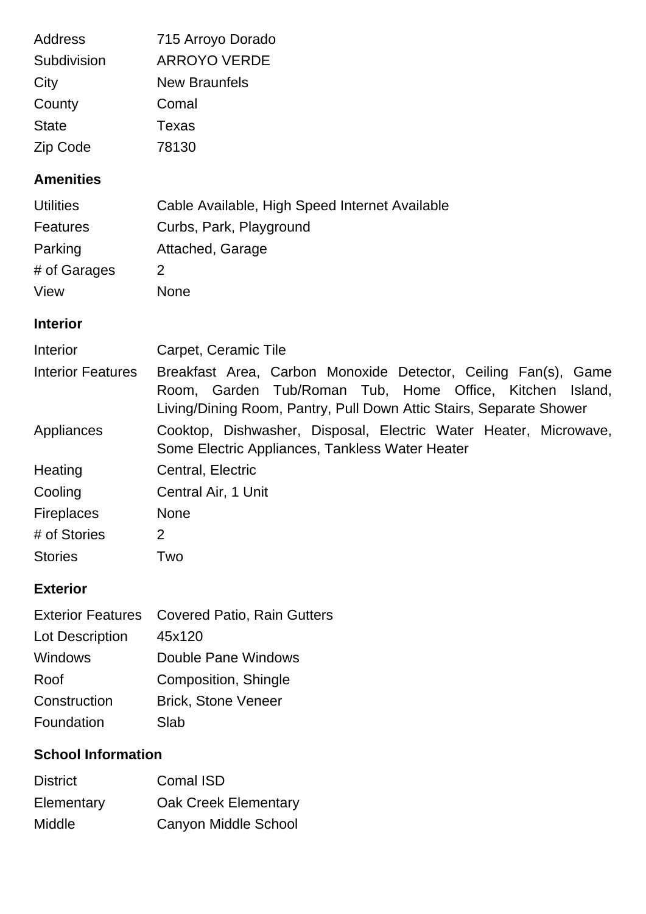| <b>Address</b><br>Subdivision | 715 Arroyo Dorado<br><b>ARROYO VERDE</b>                                                                                                                                                             |
|-------------------------------|------------------------------------------------------------------------------------------------------------------------------------------------------------------------------------------------------|
| City                          | <b>New Braunfels</b>                                                                                                                                                                                 |
| County                        | Comal                                                                                                                                                                                                |
| <b>State</b>                  | <b>Texas</b>                                                                                                                                                                                         |
| Zip Code                      | 78130                                                                                                                                                                                                |
| <b>Amenities</b>              |                                                                                                                                                                                                      |
| <b>Utilities</b>              | Cable Available, High Speed Internet Available                                                                                                                                                       |
| <b>Features</b>               | Curbs, Park, Playground                                                                                                                                                                              |
| Parking                       | Attached, Garage                                                                                                                                                                                     |
| # of Garages                  | $\overline{2}$                                                                                                                                                                                       |
| View                          | <b>None</b>                                                                                                                                                                                          |
| <b>Interior</b>               |                                                                                                                                                                                                      |
| Interior                      | Carpet, Ceramic Tile                                                                                                                                                                                 |
| <b>Interior Features</b>      | Breakfast Area, Carbon Monoxide Detector, Ceiling Fan(s), Game<br>Room, Garden Tub/Roman Tub, Home Office, Kitchen<br>Island,<br>Living/Dining Room, Pantry, Pull Down Attic Stairs, Separate Shower |
| Appliances                    | Cooktop, Dishwasher, Disposal, Electric Water Heater, Microwave,<br>Some Electric Appliances, Tankless Water Heater                                                                                  |
| Heating                       | Central, Electric                                                                                                                                                                                    |
| Cooling                       | Central Air, 1 Unit                                                                                                                                                                                  |
| <b>Fireplaces</b>             | <b>None</b>                                                                                                                                                                                          |
| # of Stories                  | 2                                                                                                                                                                                                    |
| <b>Stories</b>                | Two                                                                                                                                                                                                  |
|                               |                                                                                                                                                                                                      |

## **Exterior**

|                 | Exterior Features Covered Patio, Rain Gutters |
|-----------------|-----------------------------------------------|
| Lot Description | 45x120                                        |
| Windows         | Double Pane Windows                           |
| Roof            | Composition, Shingle                          |
| Construction    | <b>Brick, Stone Veneer</b>                    |
| Foundation      | Slab                                          |

# **School Information**

| <b>District</b> | Comal ISD                   |
|-----------------|-----------------------------|
| Elementary      | <b>Oak Creek Elementary</b> |
| Middle          | Canyon Middle School        |